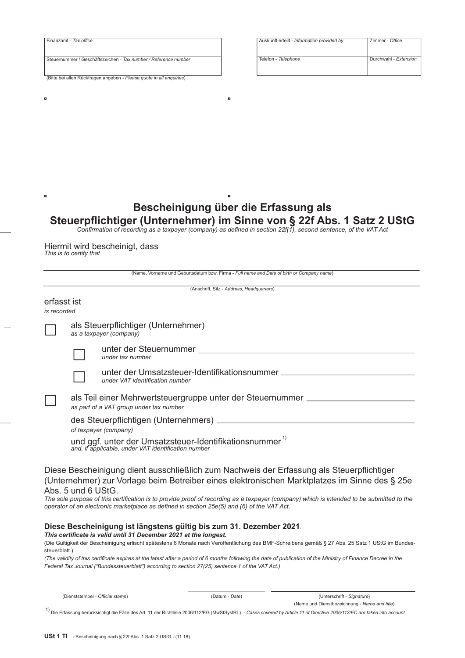| Finanzamt - Tax office                                               |  |
|----------------------------------------------------------------------|--|
|                                                                      |  |
|                                                                      |  |
|                                                                      |  |
| Steuernummer / Geschäftszeichen - Tax number / Reference number      |  |
|                                                                      |  |
|                                                                      |  |
|                                                                      |  |
| (Bitte bei allen Rückfragen angeben - Please quote in all enquiries) |  |
|                                                                      |  |

| Auskunft erteilt - Information provided by | Zimmer - Office       |
|--------------------------------------------|-----------------------|
| Telefon - Telephone                        | Durchwahl - Extension |

## Bescheinigung über die Erfassung als

# Steuerpflichtiger (Unternehmer) im Sinne von § 22f Abs. 1 Satz 2 UStG<br>Confirmation of recording as a taxpayer (company) as defined in section 22f(1), second sentence, of the VAT Act

×

Hiermit wird bescheinigt, dass<br>This is to certify that

×

|                            |                    | (Name, Vorname und Geburtsdatum bzw. Firma - Full name and Date of birth or Company name)                                                                                                                                                                                                                                                                                                                                            |
|----------------------------|--------------------|--------------------------------------------------------------------------------------------------------------------------------------------------------------------------------------------------------------------------------------------------------------------------------------------------------------------------------------------------------------------------------------------------------------------------------------|
|                            |                    | (Anschrift, Sitz - Address, Headquarters)                                                                                                                                                                                                                                                                                                                                                                                            |
| erfasst ist<br>is recorded |                    |                                                                                                                                                                                                                                                                                                                                                                                                                                      |
|                            |                    | als Steuerpflichtiger (Unternehmer)<br>as a taxpayer (company)                                                                                                                                                                                                                                                                                                                                                                       |
|                            |                    | under tax number                                                                                                                                                                                                                                                                                                                                                                                                                     |
|                            |                    | unter der Umsatzsteuer-Identifikationsnummer<br>under VAT identification number                                                                                                                                                                                                                                                                                                                                                      |
|                            |                    | als Teil einer Mehrwertsteuergruppe unter der Steuernummer<br>as part of a VAT group under tax number                                                                                                                                                                                                                                                                                                                                |
|                            |                    | of taxpayer (company)                                                                                                                                                                                                                                                                                                                                                                                                                |
|                            |                    | und ggf. unter der Umsatzsteuer-Identifikationsnummer <sup>1)</sup><br>and, if applicable, under VAT identification number                                                                                                                                                                                                                                                                                                           |
|                            | Abs. 5 und 6 UStG. | Diese Bescheinigung dient ausschließlich zum Nachweis der Erfassung als Steuerpflichtiger<br>(Unternehmer) zur Vorlage beim Betreiber eines elektronischen Marktplatzes im Sinne des § 25e<br>The sole purpose of this certification is to provide proof of recording as a taxpayer (company) which is intended to be submitted to the<br>operator of an electronic marketplace as defined in section 25e(5) and (6) of the VAT Act. |

## Diese Bescheinigung ist längstens gültig bis zum 31. Dezember 2021.

### This certificate is valid until 31 December 2021 at the longest.

(Die Gültigkeit der Bescheinigung erlischt spätestens 6 Monate nach Veröffentlichung des BMF-Schreibens gemäß § 27 Abs. 25 Satz 1 UStG im Bundessteuerblatt.)

(The validity of this certificate expires at the latest after a period of 6 months following the date of publication of the Ministry of Finance Decree in the Federal Tax Journal ("Bundessteuerblatt") according to section 27(25) sentence 1 of the VAT Act.)

| (Dienststempel - Official stamp) |
|----------------------------------|
|----------------------------------|

(Datum - Date)

(Unterschrift - Signature)

(Name und Dienstbezeichnung - Name and title)

1) Die Erfassung berücksichtigt die Fälle des Art. 11 der Richtlinie 2006/112/EG (MwStSystRL). - Cases covered by Article 11 of Directive 2006/112/EC are taken into account.